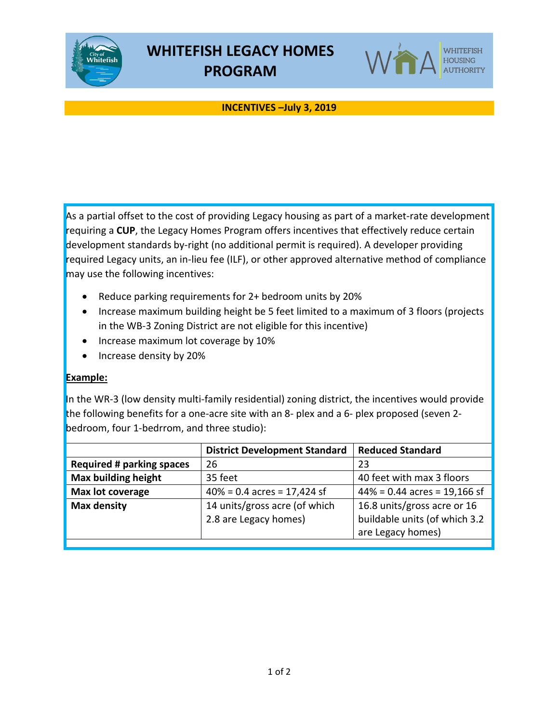



## **INCENTIVES –July 3, 2019**

As a partial offset to the cost of providing Legacy housing as part of a market-rate development requiring a **CUP**, the Legacy Homes Program offers incentives that effectively reduce certain development standards by-right (no additional permit is required). A developer providing required Legacy units, an in-lieu fee (ILF), or other approved alternative method of compliance may use the following incentives:

- Reduce parking requirements for 2+ bedroom units by 20%
- Increase maximum building height be 5 feet limited to a maximum of 3 floors (projects in the WB-3 Zoning District are not eligible for this incentive)
- Increase maximum lot coverage by 10%
- Increase density by 20%

## **Example:**

In the WR-3 (low density multi-family residential) zoning district, the incentives would provide the following benefits for a one-acre site with an 8- plex and a 6- plex proposed (seven 2 bedroom, four 1-bedrrom, and three studio):

|                                  | <b>District Development Standard</b> | <b>Reduced Standard</b>         |
|----------------------------------|--------------------------------------|---------------------------------|
| <b>Required # parking spaces</b> | 26                                   | 23                              |
| <b>Max building height</b>       | 35 feet                              | 40 feet with max 3 floors       |
| Max lot coverage                 | $40\% = 0.4$ acres = 17,424 sf       | $44\% = 0.44$ acres = 19,166 sf |
| <b>Max density</b>               | 14 units/gross acre (of which        | 16.8 units/gross acre or 16     |
|                                  | 2.8 are Legacy homes)                | buildable units (of which 3.2   |
|                                  |                                      | are Legacy homes)               |
|                                  |                                      |                                 |